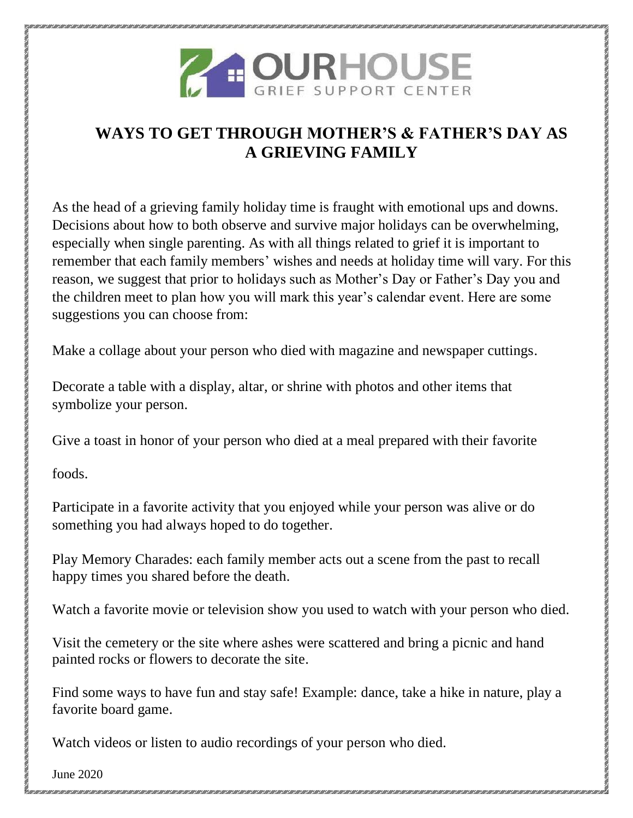

## **WAYS TO GET THROUGH MOTHER'S & FATHER'S DAY AS A GRIEVING FAMILY**

As the head of a grieving family holiday time is fraught with emotional ups and downs. Decisions about how to both observe and survive major holidays can be overwhelming, especially when single parenting. As with all things related to grief it is important to remember that each family members' wishes and needs at holiday time will vary. For this reason, we suggest that prior to holidays such as Mother's Day or Father's Day you and the children meet to plan how you will mark this year's calendar event. Here are some suggestions you can choose from:

Make a collage about your person who died with magazine and newspaper cuttings.

Decorate a table with a display, altar, or shrine with photos and other items that symbolize your person.

Give a toast in honor of your person who died at a meal prepared with their favorite

foods.

Participate in a favorite activity that you enjoyed while your person was alive or do something you had always hoped to do together.

Play Memory Charades: each family member acts out a scene from the past to recall happy times you shared before the death.

Watch a favorite movie or television show you used to watch with your person who died.

Visit the cemetery or the site where ashes were scattered and bring a picnic and hand painted rocks or flowers to decorate the site.

Find some ways to have fun and stay safe! Example: dance, take a hike in nature, play a favorite board game.

Watch videos or listen to audio recordings of your person who died.

June 2020